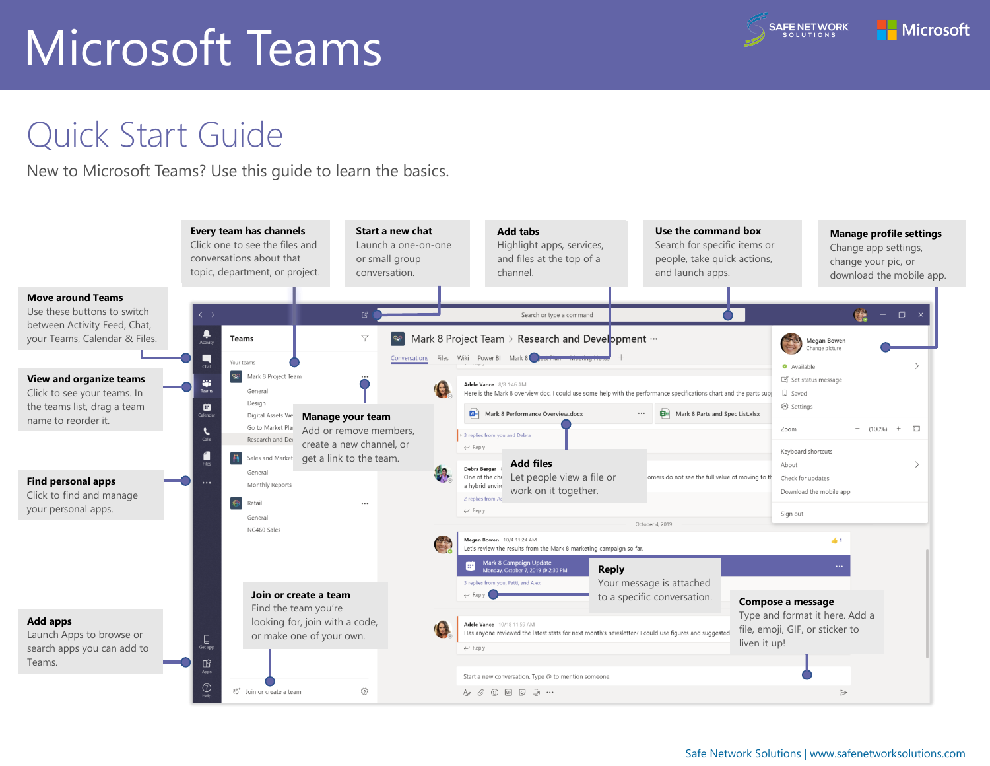#### Quick Start Guide

New to Microsoft Teams? Use this guide to learn the basics.

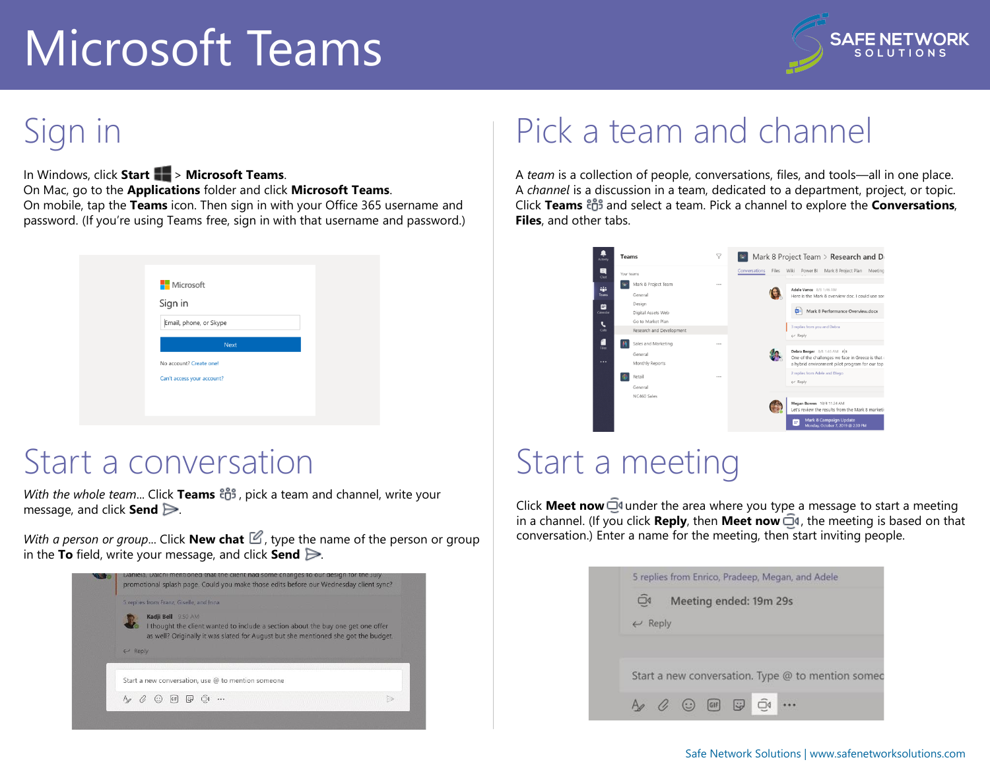

### Sign in

In Windows, click **Start** > **Microsoft Teams**. On Mac, go to the **Applications** folder and click **Microsoft Teams**. On mobile, tap the **Teams** icon. Then sign in with your Office 365 username and password. (If you're using Teams free, sign in with that username and password.)

| <b>Nicrosoft</b>           |  |
|----------------------------|--|
| Sign in                    |  |
| Email, phone, or Skype     |  |
| <b>Next</b>                |  |
|                            |  |
| No account? Create one!    |  |
| Can't access your account? |  |
|                            |  |

#### Start a conversation

*With the whole team...* Click Teams  $\frac{18}{100}$ , pick a team and channel, write your message, and click **Send** .

*With a person or group...* Click **New chat**  $\mathbb{Z}$ , type the name of the person or group in the **To** field, write your message, and click **Send** .

|       | 5 replies from Franz, Giselle, and Inna                                                                                                                                                      |  |
|-------|----------------------------------------------------------------------------------------------------------------------------------------------------------------------------------------------|--|
| Reply | Kadji Bell 9:50 AM<br>I thought the client wanted to include a section about the buy one get one offer<br>as well? Originally it was slated for August but she mentioned she got the budget. |  |
|       |                                                                                                                                                                                              |  |
|       | Start a new conversation, use @ to mention someone                                                                                                                                           |  |

#### Pick a team and channel

A *team* is a collection of people, conversations, files, and tools—all in one place. A *channel* is a discussion in a team, dedicated to a department, project, or topic. Click **Teams** and select a team. Pick a channel to explore the **Conversations**, **Files**, and other tabs.



#### Start a meeting

Click **Meet now**  $\overline{\mathbb{Q}}$ <sup>d</sup> under the area where you type a message to start a meeting in a channel. (If you click **Reply**, then **Meet now**  $\overline{\Box}$ <sup>*i*</sup>, the meeting is based on that conversation.) Enter a name for the meeting, then start inviting people.

|                         |                        |  | 5 replies from Enrico, Pradeep, Megan, and Adele  |  |
|-------------------------|------------------------|--|---------------------------------------------------|--|
| $\square$               | Meeting ended: 19m 29s |  |                                                   |  |
| $\leftrightarrow$ Reply |                        |  |                                                   |  |
|                         |                        |  |                                                   |  |
|                         |                        |  |                                                   |  |
|                         |                        |  |                                                   |  |
|                         |                        |  |                                                   |  |
|                         |                        |  | Start a new conversation. Type @ to mention somed |  |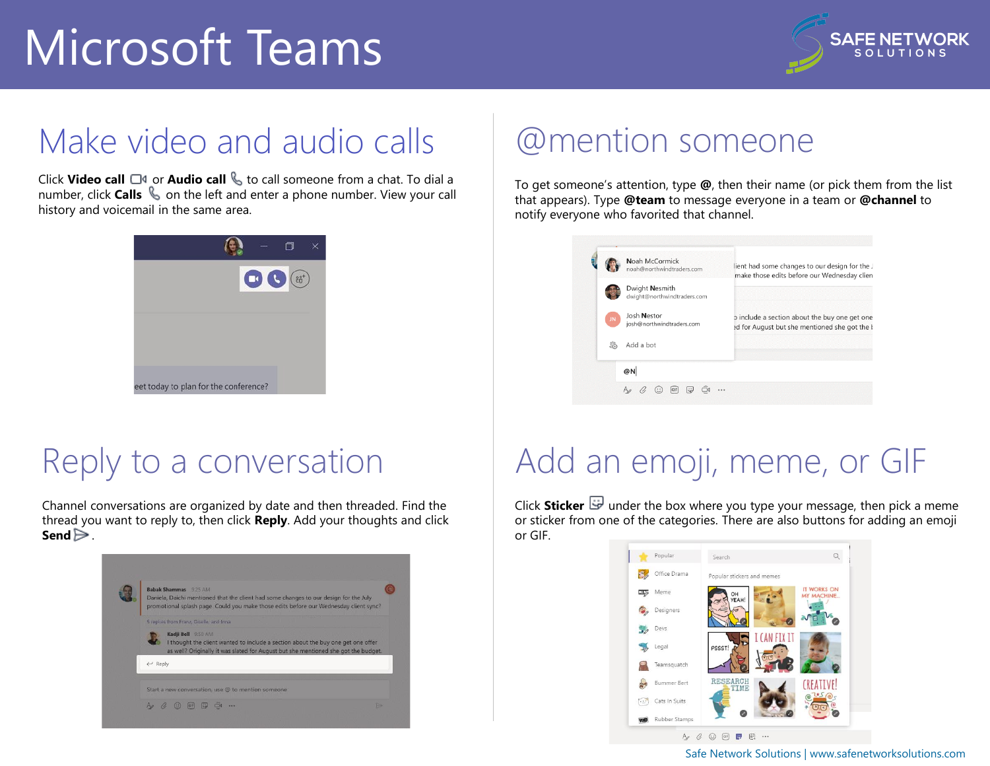

#### Make video and audio calls

Click **Video call** □<sup>*s*</sup> or **Audio call** ↓ to call someone from a chat. To dial a number, click **Calls**  $\&$  on the left and enter a phone number. View your call history and voicemail in the same area.



#### Reply to a conversation

Channel conversations are organized by date and then threaded. Find the thread you want to reply to, then click **Reply**. Add your thoughts and click **Send**  $\geq$ .



#### @mention someone

To get someone's attention, type **@**, then their name (or pick them from the list that appears). Type **@team** to message everyone in a team or **@channel** to notify everyone who favorited that channel.



## Add an emoji, meme, or GIF

Click **Sticker**  $\mathbb{F}$  under the box where you type your message, then pick a meme or sticker from one of the categories. There are also buttons for adding an emoji or GIF.



Safe Network Solutions | [www.safenetworksolutions.com](https://safenetworksolutions.com)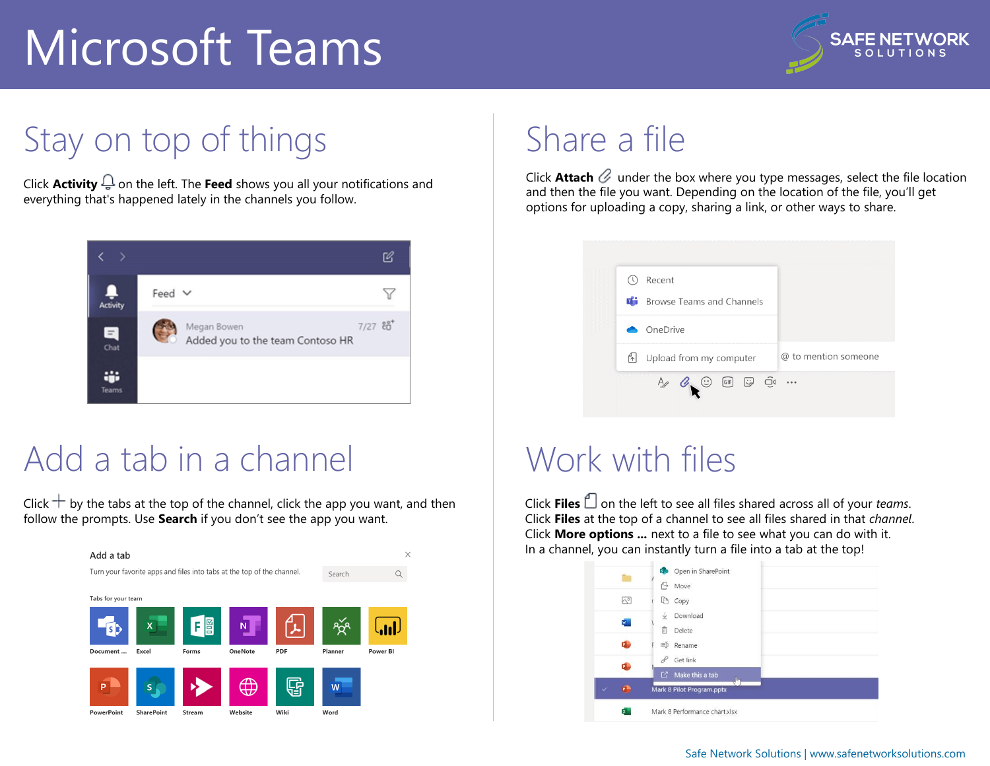

### Stay on top of things

Click **Activity**  $\bigoplus$  on the left. The **Feed** shows you all your notifications and everything that's happened lately in the channels you follow.



#### Add a tab in a channel

Click  $+$  by the tabs at the top of the channel, click the app you want, and then follow the prompts. Use **Search** if you don't see the app you want.



### Share a file

Click **Attach**  $\mathcal{C}$  under the box where you type messages, select the file location and then the file you want. Depending on the location of the file, you'll get options for uploading a copy, sharing a link, or other ways to share.



#### Work with files

Click **Files**  $\Box$  on the left to see all files shared across all of your *teams*. Click **Files** at the top of a channel to see all files shared in that *channel*. Click **More options ...** next to a file to see what you can do with it. In a channel, you can instantly turn a file into a tab at the top!